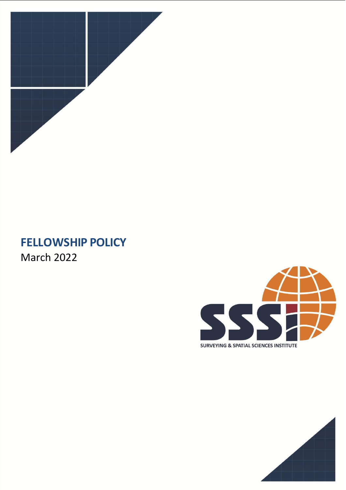

# **FELLOWSHIP POLICY** March 2022



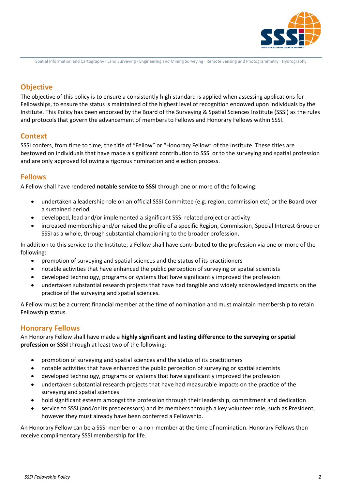

Spatial Information and Cartography ∙ Land Surveying ∙ Engineering and Mining Surveying ∙ Remote Sensing and Photogrammetry ∙ Hydrography

# **Objective**

The objective of this policy is to ensure a consistently high standard is applied when assessing applications for Fellowships, to ensure the status is maintained of the highest level of recognition endowed upon individuals by the Institute. This Policy has been endorsed by the Board of the Surveying & Spatial Sciences Institute (SSSI) as the rules and protocols that govern the advancement of membersto Fellows and Honorary Fellows within SSSI.

# **Context**

SSSI confers, from time to time, the title of "Fellow" or "Honorary Fellow" of the Institute. These titles are bestowed on individuals that have made a significant contribution to SSSI or to the surveying and spatial profession and are only approved following a rigorous nomination and election process.

# **Fellows**

A Fellow shall have rendered **notable service to SSSI** through one or more of the following:

- undertaken a leadership role on an official SSSI Committee (e.g. region, commission etc) or the Board over a sustained period
- developed, lead and/or implemented a significant SSSI related project or activity
- increased membership and/or raised the profile of a specific Region, Commission, Special Interest Group or SSSI as a whole, through substantial championing to the broader profession.

In addition to this service to the Institute, a Fellow shall have contributed to the profession via one or more of the following:

- promotion of surveying and spatial sciences and the status of its practitioners
- notable activities that have enhanced the public perception of surveying or spatial scientists
- developed technology, programs or systems that have significantly improved the profession
- undertaken substantial research projects that have had tangible and widely acknowledged impacts on the practice of the surveying and spatial sciences.

A Fellow must be a current financial member at the time of nomination and must maintain membership to retain Fellowship status.

# **Honorary Fellows**

An Honorary Fellow shall have made a **highly significant and lasting difference to the surveying or spatial profession or SSSI** through at least two of the following:

- promotion of surveying and spatial sciences and the status of its practitioners
- notable activities that have enhanced the public perception of surveying or spatial scientists
- developed technology, programs or systems that have significantly improved the profession
- undertaken substantial research projects that have had measurable impacts on the practice of the surveying and spatial sciences
- hold significant esteem amongst the profession through their leadership, commitment and dedication
- service to SSSI (and/or its predecessors) and its members through a key volunteer role, such as President, however they must already have been conferred a Fellowship.

An Honorary Fellow can be a SSSI member or a non-member at the time of nomination. Honorary Fellows then receive complimentary SSSI membership for life.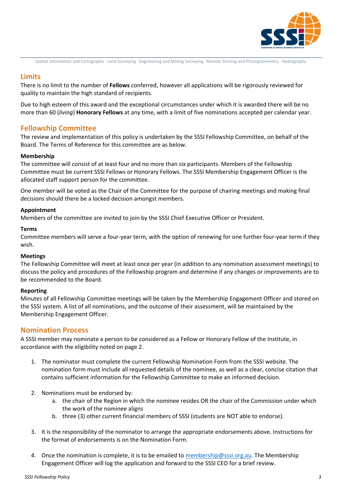

Spatial Information and Cartography ∙ Land Surveying ∙ Engineering and Mining Surveying ∙ Remote Sensing and Photogrammetry ∙ Hydrography

# **Limits**

There is no limit to the number of **Fellows** conferred, however all applications will be rigorously reviewed for quality to maintain the high standard of recipients.

Due to high esteem of this award and the exceptional circumstances under which it is awarded there will be no more than 60 (*living*) **Honorary Fellows** at any time, with a limit of five nominations accepted per calendar year.

# **Fellowship Committee**

The review and implementation of this policy is undertaken by the SSSI Fellowship Committee, on behalf of the Board. The Terms of Reference for this committee are as below.

#### **Membership**

The committee will consist of at least four and no more than six participants. Members of the Fellowship Committee must be current SSSI Fellows or Honorary Fellows. The SSSI Membership Engagement Officer is the allocated staff support person for the committee.

One member will be voted as the Chair of the Committee for the purpose of chairing meetings and making final decisions should there be a locked decision amongst members.

#### **Appointment**

Members of the committee are invited to join by the SSSI Chief Executive Officer or President.

#### **Terms**

Committee members will serve a four-year term, with the option of renewing for one further four-year term if they wish.

#### **Meetings**

The Fellowship Committee will meet at least once per year (in addition to any nomination assessment meetings) to discuss the policy and procedures of the Fellowship program and determine if any changes or improvements are to be recommended to the Board.

#### **Reporting**

Minutes of all Fellowship Committee meetings will be taken by the Membership Engagement Officer and stored on the SSSI system. A list of all nominations, and the outcome of their assessment, will be maintained by the Membership Engagement Officer.

## **Nomination Process**

A SSSI member may nominate a person to be considered as a Fellow or Honorary Fellow of the Institute, in accordance with the eligibility noted on page 2.

- 1. The nominator must complete the current Fellowship Nomination Form from the SSSI website. The nomination form must include all requested details of the nominee, as well as a clear, concise citation that contains sufficient information for the Fellowship Committee to make an informed decision.
- 2. Nominations must be endorsed by:
	- a. the chair of the Region in which the nominee resides OR the chair of the Commission under which the work of the nominee aligns
	- b. three (3) other current financial members of SSSI (students are NOT able to endorse).
- 3. It is the responsibility of the nominator to arrange the appropriate endorsements above. Instructions for the format of endorsements is on the Nomination Form.
- 4. Once the nomination is complete, it is to be emailed to [membership@sssi.org.au.](mailto:membership@sssi.org.au) The Membership Engagement Officer will log the application and forward to the SSSI CEO for a brief review.